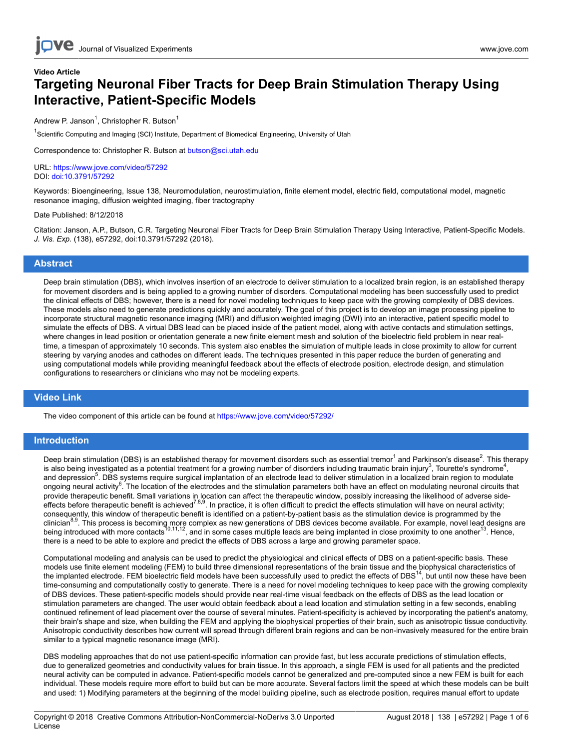# **Video Article Targeting Neuronal Fiber Tracts for Deep Brain Stimulation Therapy Using Interactive, Patient-Specific Models**

Andrew P. Janson<sup>1</sup>, Christopher R. Butson<sup>1</sup>

<sup>1</sup>Scientific Computing and Imaging (SCI) Institute, Department of Biomedical Engineering, University of Utah

Correspondence to: Christopher R. Butson at [butson@sci.utah.edu](mailto:butson@sci.utah.edu)

URL:<https://www.jove.com/video/57292> DOI: [doi:10.3791/57292](http://dx.doi.org/10.3791/57292)

Keywords: Bioengineering, Issue 138, Neuromodulation, neurostimulation, finite element model, electric field, computational model, magnetic resonance imaging, diffusion weighted imaging, fiber tractography

#### Date Published: 8/12/2018

Citation: Janson, A.P., Butson, C.R. Targeting Neuronal Fiber Tracts for Deep Brain Stimulation Therapy Using Interactive, Patient-Specific Models. *J. Vis. Exp.* (138), e57292, doi:10.3791/57292 (2018).

#### **Abstract**

Deep brain stimulation (DBS), which involves insertion of an electrode to deliver stimulation to a localized brain region, is an established therapy for movement disorders and is being applied to a growing number of disorders. Computational modeling has been successfully used to predict the clinical effects of DBS; however, there is a need for novel modeling techniques to keep pace with the growing complexity of DBS devices. These models also need to generate predictions quickly and accurately. The goal of this project is to develop an image processing pipeline to incorporate structural magnetic resonance imaging (MRI) and diffusion weighted imaging (DWI) into an interactive, patient specific model to simulate the effects of DBS. A virtual DBS lead can be placed inside of the patient model, along with active contacts and stimulation settings, where changes in lead position or orientation generate a new finite element mesh and solution of the bioelectric field problem in near realtime, a timespan of approximately 10 seconds. This system also enables the simulation of multiple leads in close proximity to allow for current steering by varying anodes and cathodes on different leads. The techniques presented in this paper reduce the burden of generating and using computational models while providing meaningful feedback about the effects of electrode position, electrode design, and stimulation configurations to researchers or clinicians who may not be modeling experts.

### **Video Link**

The video component of this article can be found at <https://www.jove.com/video/57292/>

### **Introduction**

Deep brain stimulation (DBS) is an established therapy for movement disorders such as essential tremor<sup>1</sup> and Parkinson's disease<sup>2</sup>. This therapy is also being investigated as a potential treatment for a growing number of disorders including traumatic brain injury<sup>3</sup>, Tourette's syndrome<sup>4</sup>, and depression<sup>5</sup>. DBS systems require surgical implantation of an electrode lead to deliver stimulation in a localized brain region to modulate ongoing neural activity<sup>6</sup>. The location of the electrodes and the stimulation parameters both have an effect on modulating neuronal circuits that provide therapeutic benefit. Small variations in location can affect the therapeutic window, possibly increasing the likelihood of adverse sideeffects before therapeutic benefit is achieved<sup>7,8,9</sup>. In practice, it is often difficult to predict the effects stimulation will have on neural activity; consequently, this window of therapeutic benefit is identified on a patient-by-patient basis as the stimulation device is programmed by the clinician<sup>8,9</sup>. This process is becoming more complex as new generations of DBS devices become available. For example, novel lead designs are<br>being introduced with more contacts <sup>10,11,12</sup>, and in some cases multiple leads there is a need to be able to explore and predict the effects of DBS across a large and growing parameter space.

Computational modeling and analysis can be used to predict the physiological and clinical effects of DBS on a patient-specific basis. These models use finite element modeling (FEM) to build three dimensional representations of the brain tissue and the biophysical characteristics of the implanted electrode. FEM bioelectric field models have been successfully used to predict the effects of DBS<sup>14</sup>, but until now these have been time-consuming and computationally costly to generate. There is a need for novel modeling techniques to keep pace with the growing complexity of DBS devices. These patient-specific models should provide near real-time visual feedback on the effects of DBS as the lead location or stimulation parameters are changed. The user would obtain feedback about a lead location and stimulation setting in a few seconds, enabling continued refinement of lead placement over the course of several minutes. Patient-specificity is achieved by incorporating the patient's anatomy, their brain's shape and size, when building the FEM and applying the biophysical properties of their brain, such as anisotropic tissue conductivity. Anisotropic conductivity describes how current will spread through different brain regions and can be non-invasively measured for the entire brain similar to a typical magnetic resonance image (MRI).

DBS modeling approaches that do not use patient-specific information can provide fast, but less accurate predictions of stimulation effects, due to generalized geometries and conductivity values for brain tissue. In this approach, a single FEM is used for all patients and the predicted neural activity can be computed in advance. Patient-specific models cannot be generalized and pre-computed since a new FEM is built for each individual. These models require more effort to build but can be more accurate. Several factors limit the speed at which these models can be built and used: 1) Modifying parameters at the beginning of the model building pipeline, such as electrode position, requires manual effort to update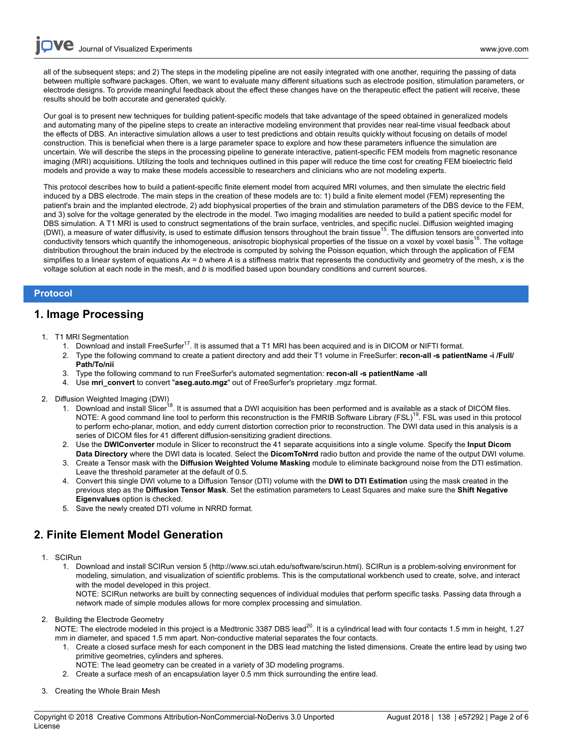all of the subsequent steps; and 2) The steps in the modeling pipeline are not easily integrated with one another, requiring the passing of data between multiple software packages. Often, we want to evaluate many different situations such as electrode position, stimulation parameters, or electrode designs. To provide meaningful feedback about the effect these changes have on the therapeutic effect the patient will receive, these results should be both accurate and generated quickly.

Our goal is to present new techniques for building patient-specific models that take advantage of the speed obtained in generalized models and automating many of the pipeline steps to create an interactive modeling environment that provides near real-time visual feedback about the effects of DBS. An interactive simulation allows a user to test predictions and obtain results quickly without focusing on details of model construction. This is beneficial when there is a large parameter space to explore and how these parameters influence the simulation are uncertain. We will describe the steps in the processing pipeline to generate interactive, patient-specific FEM models from magnetic resonance imaging (MRI) acquisitions. Utilizing the tools and techniques outlined in this paper will reduce the time cost for creating FEM bioelectric field models and provide a way to make these models accessible to researchers and clinicians who are not modeling experts.

This protocol describes how to build a patient-specific finite element model from acquired MRI volumes, and then simulate the electric field induced by a DBS electrode. The main steps in the creation of these models are to: 1) build a finite element model (FEM) representing the patient's brain and the implanted electrode, 2) add biophysical properties of the brain and stimulation parameters of the DBS device to the FEM, and 3) solve for the voltage generated by the electrode in the model. Two imaging modalities are needed to build a patient specific model for DBS simulation. A T1 MRI is used to construct segmentations of the brain surface, ventricles, and specific nuclei. Diffusion weighted imaging (DWI), a measure of water diffusivity, is used to estimate diffusion tensors throughout the brain tissue<sup>15</sup>. The diffusion tensors are converted into conductivity tensors which quantify the inhomogeneous, anisotropic biophysical properties of the tissue on a voxel by voxel basis<sup>16</sup>. The voltage distribution throughout the brain induced by the electrode is computed by solving the Poisson equation, which through the application of FEM simplifies to a linear system of equations  $Ax = b$  where A is a stiffness matrix that represents the conductivity and geometry of the mesh, x is the voltage solution at each node in the mesh, and *b* is modified based upon boundary conditions and current sources.

### **Protocol**

# **1. Image Processing**

- 1. T1 MRI Segmentation
	- 1. Download and install FreeSurfer<sup>17</sup>. It is assumed that a T1 MRI has been acquired and is in DICOM or NIFTI format.
	- 2. Type the following command to create a patient directory and add their T1 volume in FreeSurfer: **recon-all -s patientName -i /Full/ Path/To/nii**
	- 3. Type the following command to run FreeSurfer's automated segmentation: **recon-all -s patientName -all**
	- 4. Use **mri\_convert** to convert "**aseg.auto.mgz**" out of FreeSurfer's proprietary .mgz format.
- 
- 2. Diffusion Weighted Imaging (DWI)<br>1. Download and install Slicer<sup>18</sup>. It is assumed that a DWI acquisition has been performed and is available as a stack of DICOM files. NOTE: A good command line tool to perform this reconstruction is the FMRIB Software Library (FSL)<sup>19</sup>. FSL was used in this protocol to perform echo-planar, motion, and eddy current distortion correction prior to reconstruction. The DWI data used in this analysis is a series of DICOM files for 41 different diffusion-sensitizing gradient directions.
	- 2. Use the **DWIConverter** module in Slicer to reconstruct the 41 separate acquisitions into a single volume. Specify the **Input Dicom Data Directory** where the DWI data is located. Select the **DicomToNrrd** radio button and provide the name of the output DWI volume.
	- 3. Create a Tensor mask with the **Diffusion Weighted Volume Masking** module to eliminate background noise from the DTI estimation. Leave the threshold parameter at the default of 0.5.
	- 4. Convert this single DWI volume to a Diffusion Tensor (DTI) volume with the **DWI to DTI Estimation** using the mask created in the previous step as the **Diffusion Tensor Mask**. Set the estimation parameters to Least Squares and make sure the **Shift Negative Eigenvalues** option is checked.
	- 5. Save the newly created DTI volume in NRRD format.

# **2. Finite Element Model Generation**

- 1. SCIRun
	- 1. Download and install SCIRun version 5 (http://www.sci.utah.edu/software/scirun.html). SCIRun is a problem-solving environment for modeling, simulation, and visualization of scientific problems. This is the computational workbench used to create, solve, and interact with the model developed in this project.

NOTE: SCIRun networks are built by connecting sequences of individual modules that perform specific tasks. Passing data through a network made of simple modules allows for more complex processing and simulation.

2. Building the Electrode Geometry

NOTE: The electrode modeled in this project is a Medtronic 3387 DBS lead<sup>20</sup>. It is a cylindrical lead with four contacts 1.5 mm in height, 1.27 mm in diameter, and spaced 1.5 mm apart. Non-conductive material separates the four contacts.

- 1. Create a closed surface mesh for each component in the DBS lead matching the listed dimensions. Create the entire lead by using two primitive geometries, cylinders and spheres.
- NOTE: The lead geometry can be created in a variety of 3D modeling programs.
- 2. Create a surface mesh of an encapsulation layer 0.5 mm thick surrounding the entire lead.
- 3. Creating the Whole Brain Mesh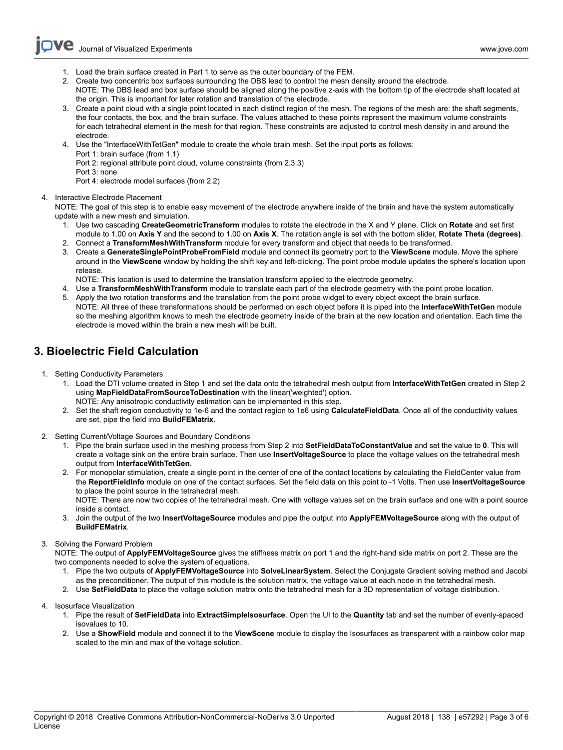**Ove** Journal of Visualized [Experiments](https://www.jove.com) [www.jove.com](https://www.jove.com)

- 1. Load the brain surface created in Part 1 to serve as the outer boundary of the FEM.
- 2. Create two concentric box surfaces surrounding the DBS lead to control the mesh density around the electrode.

NOTE: The DBS lead and box surface should be aligned along the positive z-axis with the bottom tip of the electrode shaft located at the origin. This is important for later rotation and translation of the electrode.

- 3. Create a point cloud with a single point located in each distinct region of the mesh. The regions of the mesh are: the shaft segments, the four contacts, the box, and the brain surface. The values attached to these points represent the maximum volume constraints for each tetrahedral element in the mesh for that region. These constraints are adjusted to control mesh density in and around the electrode.
- 4. Use the "InterfaceWithTetGen" module to create the whole brain mesh. Set the input ports as follows: Port 1: brain surface (from 1.1)
	- Port 2: regional attribute point cloud, volume constraints (from 2.3.3)
	- Port 3: none

Port 4: electrode model surfaces (from 2.2)

4. Interactive Electrode Placement

NOTE: The goal of this step is to enable easy movement of the electrode anywhere inside of the brain and have the system automatically update with a new mesh and simulation.

- 1. Use two cascading **CreateGeometricTransform** modules to rotate the electrode in the X and Y plane. Click on **Rotate** and set first module to 1.00 on **Axis Y** and the second to 1.00 on **Axis X**. The rotation angle is set with the bottom slider, **Rotate Theta (degrees)**.
- 2. Connect a **TransformMeshWithTransform** module for every transform and object that needs to be transformed.
- 3. Create a **GenerateSinglePointProbeFromField** module and connect its geometry port to the **ViewScene** module. Move the sphere around in the **ViewScene** window by holding the shift key and left-clicking. The point probe module updates the sphere's location upon release.

NOTE: This location is used to determine the translation transform applied to the electrode geometry.

- 4. Use a **TransformMeshWithTransform** module to translate each part of the electrode geometry with the point probe location.
- 5. Apply the two rotation transforms and the translation from the point probe widget to every object except the brain surface. NOTE: All three of these transformations should be performed on each object before it is piped into the **InterfaceWithTetGen** module so the meshing algorithm knows to mesh the electrode geometry inside of the brain at the new location and orientation. Each time the electrode is moved within the brain a new mesh will be built.

# **3. Bioelectric Field Calculation**

- 1. Setting Conductivity Parameters
	- 1. Load the DTI volume created in Step 1 and set the data onto the tetrahedral mesh output from **InterfaceWithTetGen** created in Step 2 using **MapFieldDataFromSourceToDestination** with the linear('weighted') option. NOTE: Any anisotropic conductivity estimation can be implemented in this step.
	- 2. Set the shaft region conductivity to 1e-6 and the contact region to 1e6 using **CalculateFieldData**. Once all of the conductivity values are set, pipe the field into **BuildFEMatrix**.
- 2. Setting Current/Voltage Sources and Boundary Conditions
	- 1. Pipe the brain surface used in the meshing process from Step 2 into **SetFieldDataToConstantValue** and set the value to **0**. This will create a voltage sink on the entire brain surface. Then use **InsertVoltageSource** to place the voltage values on the tetrahedral mesh output from **InterfaceWithTetGen**.
	- 2. For monopolar stimulation, create a single point in the center of one of the contact locations by calculating the FieldCenter value from the **ReportFieldInfo** module on one of the contact surfaces. Set the field data on this point to -1 Volts. Then use **InsertVoltageSource** to place the point source in the tetrahedral mesh.

NOTE: There are now two copies of the tetrahedral mesh. One with voltage values set on the brain surface and one with a point source inside a contact.

3. Join the output of the two **InsertVoltageSource** modules and pipe the output into **ApplyFEMVoltageSource** along with the output of **BuildFEMatrix**.

#### 3. Solving the Forward Problem

NOTE: The output of **ApplyFEMVoltageSource** gives the stiffness matrix on port 1 and the right-hand side matrix on port 2. These are the two components needed to solve the system of equations.

- 1. Pipe the two outputs of **ApplyFEMVoltageSource** into **SolveLinearSystem**. Select the Conjugate Gradient solving method and Jacobi as the preconditioner. The output of this module is the solution matrix, the voltage value at each node in the tetrahedral mesh.
- 2. Use **SetFieldData** to place the voltage solution matrix onto the tetrahedral mesh for a 3D representation of voltage distribution.
- 4. Isosurface Visualization
	- 1. Pipe the result of **SetFieldData** into **ExtractSimpleIsosurface**. Open the UI to the **Quantity** tab and set the number of evenly-spaced isovalues to 10.
	- 2. Use a **ShowField** module and connect it to the **ViewScene** module to display the Isosurfaces as transparent with a rainbow color map scaled to the min and max of the voltage solution.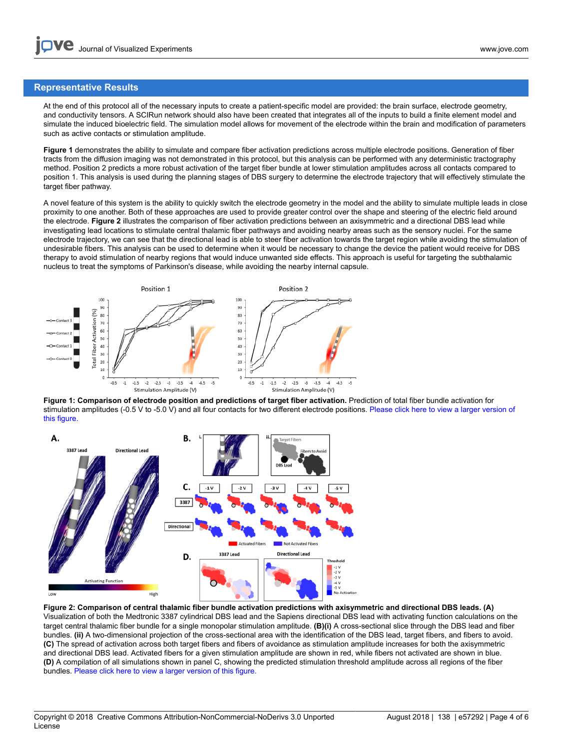## **Representative Results**

At the end of this protocol all of the necessary inputs to create a patient-specific model are provided: the brain surface, electrode geometry, and conductivity tensors. A SCIRun network should also have been created that integrates all of the inputs to build a finite element model and simulate the induced bioelectric field. The simulation model allows for movement of the electrode within the brain and modification of parameters such as active contacts or stimulation amplitude.

**Figure 1** demonstrates the ability to simulate and compare fiber activation predictions across multiple electrode positions. Generation of fiber tracts from the diffusion imaging was not demonstrated in this protocol, but this analysis can be performed with any deterministic tractography method. Position 2 predicts a more robust activation of the target fiber bundle at lower stimulation amplitudes across all contacts compared to position 1. This analysis is used during the planning stages of DBS surgery to determine the electrode trajectory that will effectively stimulate the target fiber pathway.

A novel feature of this system is the ability to quickly switch the electrode geometry in the model and the ability to simulate multiple leads in close proximity to one another. Both of these approaches are used to provide greater control over the shape and steering of the electric field around the electrode. **Figure 2** illustrates the comparison of fiber activation predictions between an axisymmetric and a directional DBS lead while investigating lead locations to stimulate central thalamic fiber pathways and avoiding nearby areas such as the sensory nuclei. For the same electrode trajectory, we can see that the directional lead is able to steer fiber activation towards the target region while avoiding the stimulation of undesirable fibers. This analysis can be used to determine when it would be necessary to change the device the patient would receive for DBS therapy to avoid stimulation of nearby regions that would induce unwanted side effects. This approach is useful for targeting the subthalamic nucleus to treat the symptoms of Parkinson's disease, while avoiding the nearby internal capsule.



**Figure 1: Comparison of electrode position and predictions of target fiber activation.** Prediction of total fiber bundle activation for stimulation amplitudes (-0.5 V to -5.0 V) and all four contacts for two different electrode positions. [Please click here to view a larger version of](https://www.jove.com/files/ftp_upload/57292/57292fig1large.jpg) [this figure.](https://www.jove.com/files/ftp_upload/57292/57292fig1large.jpg)



**Figure 2: Comparison of central thalamic fiber bundle activation predictions with axisymmetric and directional DBS leads. (A)** Visualization of both the Medtronic 3387 cylindrical DBS lead and the Sapiens directional DBS lead with activating function calculations on the target central thalamic fiber bundle for a single monopolar stimulation amplitude. **(B)(i)** A cross-sectional slice through the DBS lead and fiber bundles. **(ii)** A two-dimensional projection of the cross-sectional area with the identification of the DBS lead, target fibers, and fibers to avoid. **(C)** The spread of activation across both target fibers and fibers of avoidance as stimulation amplitude increases for both the axisymmetric and directional DBS lead. Activated fibers for a given stimulation amplitude are shown in red, while fibers not activated are shown in blue. **(D)** A compilation of all simulations shown in panel C, showing the predicted stimulation threshold amplitude across all regions of the fiber bundles. [Please click here to view a larger version of this figure.](https://www.jove.com/files/ftp_upload/57292/57292fig2large.jpg)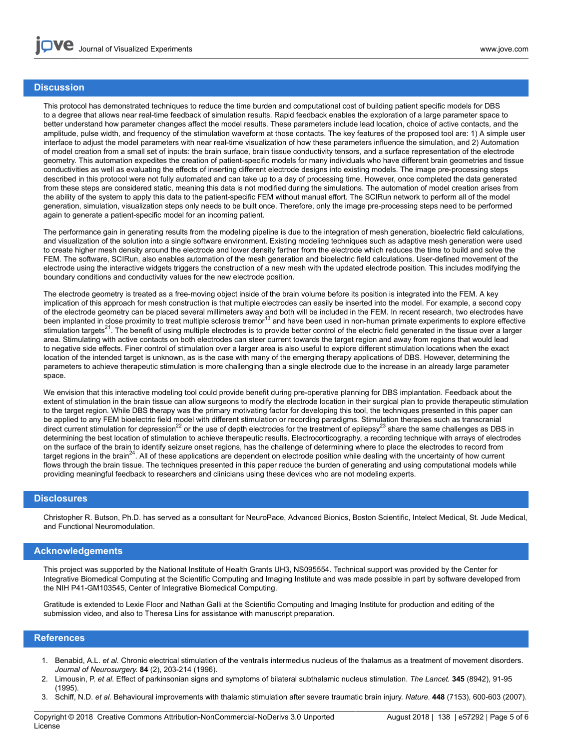### **Discussion**

This protocol has demonstrated techniques to reduce the time burden and computational cost of building patient specific models for DBS to a degree that allows near real-time feedback of simulation results. Rapid feedback enables the exploration of a large parameter space to better understand how parameter changes affect the model results. These parameters include lead location, choice of active contacts, and the amplitude, pulse width, and frequency of the stimulation waveform at those contacts. The key features of the proposed tool are: 1) A simple user interface to adjust the model parameters with near real-time visualization of how these parameters influence the simulation, and 2) Automation of model creation from a small set of inputs: the brain surface, brain tissue conductivity tensors, and a surface representation of the electrode geometry. This automation expedites the creation of patient-specific models for many individuals who have different brain geometries and tissue conductivities as well as evaluating the effects of inserting different electrode designs into existing models. The image pre-processing steps described in this protocol were not fully automated and can take up to a day of processing time. However, once completed the data generated from these steps are considered static, meaning this data is not modified during the simulations. The automation of model creation arises from the ability of the system to apply this data to the patient-specific FEM without manual effort. The SCIRun network to perform all of the model generation, simulation, visualization steps only needs to be built once. Therefore, only the image pre-processing steps need to be performed again to generate a patient-specific model for an incoming patient.

The performance gain in generating results from the modeling pipeline is due to the integration of mesh generation, bioelectric field calculations, and visualization of the solution into a single software environment. Existing modeling techniques such as adaptive mesh generation were used to create higher mesh density around the electrode and lower density farther from the electrode which reduces the time to build and solve the FEM. The software, SCIRun, also enables automation of the mesh generation and bioelectric field calculations. User-defined movement of the electrode using the interactive widgets triggers the construction of a new mesh with the updated electrode position. This includes modifying the boundary conditions and conductivity values for the new electrode position.

The electrode geometry is treated as a free-moving object inside of the brain volume before its position is integrated into the FEM. A key implication of this approach for mesh construction is that multiple electrodes can easily be inserted into the model. For example, a second copy of the electrode geometry can be placed several millimeters away and both will be included in the FEM. In recent research, two electrodes have been implanted in close proximity to treat multiple sclerosis tremor<sup>13</sup> and have been used in non-human primate experiments to explore effective stimulation targets<sup>21</sup>. The benefit of using multiple electrodes is to provide better control of the electric field generated in the tissue over a larger area. Stimulating with active contacts on both electrodes can steer current towards the target region and away from regions that would lead to negative side effects. Finer control of stimulation over a larger area is also useful to explore different stimulation locations when the exact location of the intended target is unknown, as is the case with many of the emerging therapy applications of DBS. However, determining the parameters to achieve therapeutic stimulation is more challenging than a single electrode due to the increase in an already large parameter space.

We envision that this interactive modeling tool could provide benefit during pre-operative planning for DBS implantation. Feedback about the extent of stimulation in the brain tissue can allow surgeons to modify the electrode location in their surgical plan to provide therapeutic stimulation to the target region. While DBS therapy was the primary motivating factor for developing this tool, the techniques presented in this paper can be applied to any FEM bioelectric field model with different stimulation or recording paradigms. Stimulation therapies such as transcranial direct current stimulation for depression<sup>22</sup> or the use of depth electrodes for the treatment of epilepsy<sup>23</sup> share the same challenges as DBS in determining the best location of stimulation to achieve therapeutic results. Electrocorticography, a recording technique with arrays of electrodes on the surface of the brain to identify seizure onset regions, has the challenge of determining where to place the electrodes to record from target regions in the brain<sup>24</sup>. All of these applications are dependent on electrode position while dealing with the uncertainty of how current flows through the brain tissue. The techniques presented in this paper reduce the burden of generating and using computational models while providing meaningful feedback to researchers and clinicians using these devices who are not modeling experts.

### **Disclosures**

Christopher R. Butson, Ph.D. has served as a consultant for NeuroPace, Advanced Bionics, Boston Scientific, Intelect Medical, St. Jude Medical, and Functional Neuromodulation.

## **Acknowledgements**

This project was supported by the National Institute of Health Grants UH3, NS095554. Technical support was provided by the Center for Integrative Biomedical Computing at the Scientific Computing and Imaging Institute and was made possible in part by software developed from the NIH P41-GM103545, Center of Integrative Biomedical Computing.

Gratitude is extended to Lexie Floor and Nathan Galli at the Scientific Computing and Imaging Institute for production and editing of the submission video, and also to Theresa Lins for assistance with manuscript preparation.

### **References**

- 1. Benabid, A.L. *et al.* Chronic electrical stimulation of the ventralis intermedius nucleus of the thalamus as a treatment of movement disorders. *Journal of Neurosurgery.* **84** (2), 203-214 (1996).
- 2. Limousin, P. *et al.* Effect of parkinsonian signs and symptoms of bilateral subthalamic nucleus stimulation. *The Lancet.* **345** (8942), 91-95 (1995).
- 3. Schiff, N.D. *et al.* Behavioural improvements with thalamic stimulation after severe traumatic brain injury. *Nature.* **448** (7153), 600-603 (2007).